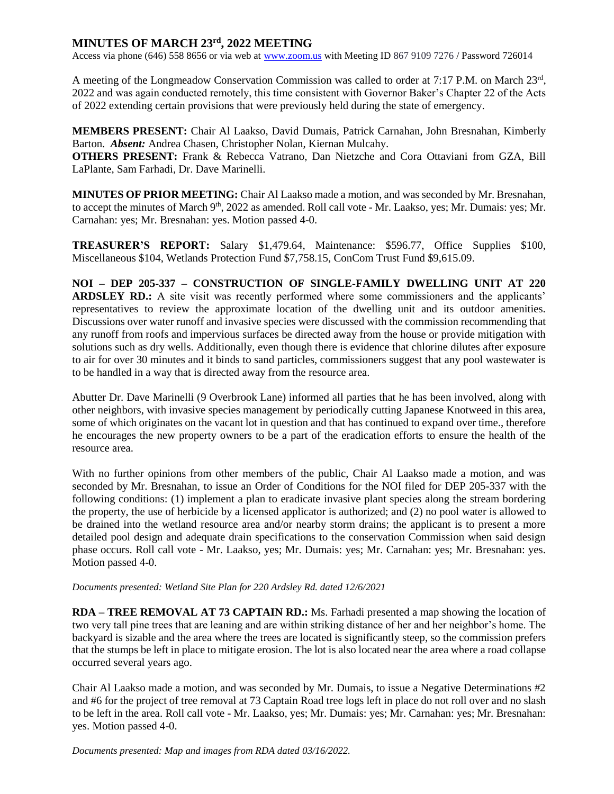## **MINUTES OF MARCH 23rd, 2022 MEETING**

Access via phone (646) 558 8656 or via web at [www.zoom.us](http://www.zoom.us/) with Meeting ID 867 9109 7276 / Password 726014

A meeting of the Longmeadow Conservation Commission was called to order at 7:17 P.M. on March 23rd, 2022 and was again conducted remotely, this time consistent with Governor Baker's Chapter 22 of the Acts of 2022 extending certain provisions that were previously held during the state of emergency.

**MEMBERS PRESENT:** Chair Al Laakso, David Dumais, Patrick Carnahan, John Bresnahan, Kimberly Barton. *Absent:* Andrea Chasen, Christopher Nolan, Kiernan Mulcahy.

**OTHERS PRESENT:** Frank & Rebecca Vatrano, Dan Nietzche and Cora Ottaviani from GZA, Bill LaPlante, Sam Farhadi, Dr. Dave Marinelli.

**MINUTES OF PRIOR MEETING:** Chair Al Laakso made a motion, and was seconded by Mr. Bresnahan, to accept the minutes of March 9<sup>th</sup>, 2022 as amended. Roll call vote - Mr. Laakso, yes; Mr. Dumais: yes; Mr. Carnahan: yes; Mr. Bresnahan: yes. Motion passed 4-0.

**TREASURER'S REPORT:** Salary \$1,479.64, Maintenance: \$596.77, Office Supplies \$100, Miscellaneous \$104, Wetlands Protection Fund \$7,758.15, ConCom Trust Fund \$9,615.09.

**NOI – DEP 205-337 – CONSTRUCTION OF SINGLE-FAMILY DWELLING UNIT AT 220 ARDSLEY RD.:** A site visit was recently performed where some commissioners and the applicants' representatives to review the approximate location of the dwelling unit and its outdoor amenities. Discussions over water runoff and invasive species were discussed with the commission recommending that any runoff from roofs and impervious surfaces be directed away from the house or provide mitigation with solutions such as dry wells. Additionally, even though there is evidence that chlorine dilutes after exposure to air for over 30 minutes and it binds to sand particles, commissioners suggest that any pool wastewater is to be handled in a way that is directed away from the resource area.

Abutter Dr. Dave Marinelli (9 Overbrook Lane) informed all parties that he has been involved, along with other neighbors, with invasive species management by periodically cutting Japanese Knotweed in this area, some of which originates on the vacant lot in question and that has continued to expand over time., therefore he encourages the new property owners to be a part of the eradication efforts to ensure the health of the resource area.

With no further opinions from other members of the public, Chair Al Laakso made a motion, and was seconded by Mr. Bresnahan, to issue an Order of Conditions for the NOI filed for DEP 205-337 with the following conditions: (1) implement a plan to eradicate invasive plant species along the stream bordering the property, the use of herbicide by a licensed applicator is authorized; and (2) no pool water is allowed to be drained into the wetland resource area and/or nearby storm drains; the applicant is to present a more detailed pool design and adequate drain specifications to the conservation Commission when said design phase occurs. Roll call vote - Mr. Laakso, yes; Mr. Dumais: yes; Mr. Carnahan: yes; Mr. Bresnahan: yes. Motion passed 4-0.

*Documents presented: Wetland Site Plan for 220 Ardsley Rd. dated 12/6/2021*

**RDA – TREE REMOVAL AT 73 CAPTAIN RD.:** Ms. Farhadi presented a map showing the location of two very tall pine trees that are leaning and are within striking distance of her and her neighbor's home. The backyard is sizable and the area where the trees are located is significantly steep, so the commission prefers that the stumps be left in place to mitigate erosion. The lot is also located near the area where a road collapse occurred several years ago.

Chair Al Laakso made a motion, and was seconded by Mr. Dumais, to issue a Negative Determinations #2 and #6 for the project of tree removal at 73 Captain Road tree logs left in place do not roll over and no slash to be left in the area. Roll call vote - Mr. Laakso, yes; Mr. Dumais: yes; Mr. Carnahan: yes; Mr. Bresnahan: yes. Motion passed 4-0.